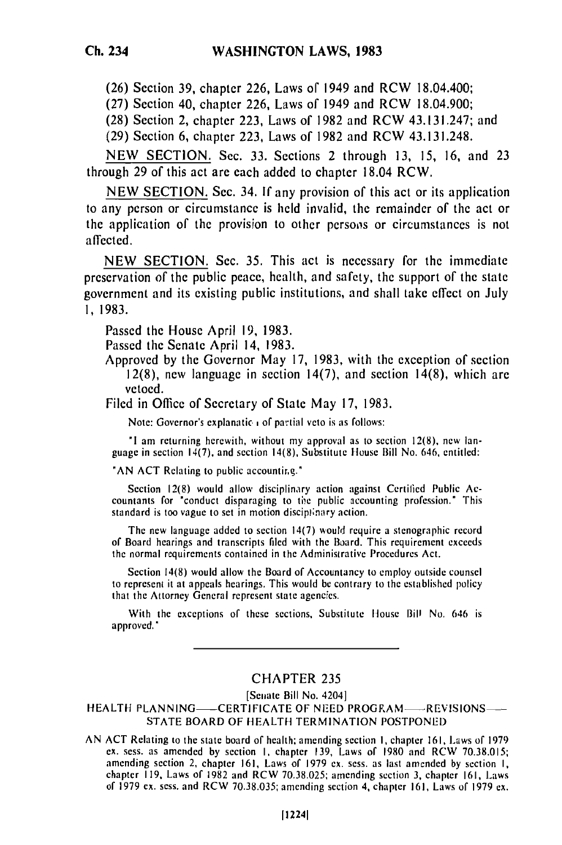**(26)** Section **39,** chapter **226,** Laws of 1949 and RCW 18.04.400;

**(27)** Section 40, chapter **226,** Laws of 1949 and RCW 18.04.900;

**(28)** Section 2, chapter **223,** Laws of **1982** and RCW 43.131.247; and

**(29)** Section **6,** chapter **223,** Laws of **1982** and RCW 43.131.248.

**NEW SECTION.** Sec. **33.** Sections 2 through **13, 15, 16,** and **23** through **29** of this act are each added to chapter 18.04 RCW.

**NEW SECTION.** Sec. 34. **If** any provision of this act or its application to any person or circumstance is **held** invalid, the remainder of the act or the application of the provision to other persoos or circumstances is not affected.

**NEW SECTION.** Sec. **35.** This act is necessary for the immediate preservation of the public peace, health, and safety, the support of the state government and its existing public institutions, and shall take effect on July **1, 1983.**

Passed the House April **19, 1983.**

Passed the Senate April 14, **1983.**

Approved **by** the Governor May **17, 1983,** with the exception of section **12(8),** new language in section 14(7), and section 14(8), which **are** vetoed.

Filed in Office of Secretary of State May **17, 1983.**

Note: Governor's explanatic; **of** partial veto is as follows:

**"I** am returning herewith, without my approval as to section 12(8), new language in section 14(7), and section 14(8), Substitute House Bill No. 646, entitled:

"AN ACT Relating to public accounting."

Section 12(8) would allow disciplinary action against Certified Public Accountants for "conduct disparaging to the public accounting profession." This standard is too vague to set in motion disciplinary action.

The new language added to section  $14(7)$  would require a stenographic record The new language added to section  $H(t)$  would require a stellographic records of Board hearings and transcripts filed with the Board. This requirement exceeds

Section 14(8) would allow the Board of Accountancy to employ outside counsel to represent it at appeals hearings. This would be contrary to the established policy that the Attorney General represent state agencies.

With the exceptions of these sections, Substitute House Bill No. 646 is approved."

## CHAPTER **235**

[Senate Bill No. 4204]

HEALTH PLANNING---CERTIFICATE OF NEED PROGRAM----REVISIONS-STATE BOARD OF HEALTH TERMINATION POSTPONED

AN ACT Relating to the state board of health: amending section I, chapter 161, Laws of **<sup>1979</sup>** ACT RESITING TO THE STATE DOATH OF HEALTH, AMENDING SECTION I, CHAPTER 101, LAWS OF 1975<br>And Case, as amended by section I, chapter 120, Laws of 1980 and RCW 70.38.015 cx. sess. as amended by section 1, chapter 139, Laws of 1980 and RCW  $(0.38.015)$ amending section 2, chapter 161, Laws 01 1979 ex. sess. as last amended by section 1,<br>chapter 110, Laws of 1082 and DCW 70.38.025; amending section 2, obanter 161, Laws of 1979 ex. sess. and RCW 70.38.025; amending section 3, chapter 161, Laws<br>Chapter 119, Laws of DCW 70.38.035; amending section 4, chapter 161, Laws of 1979 ex.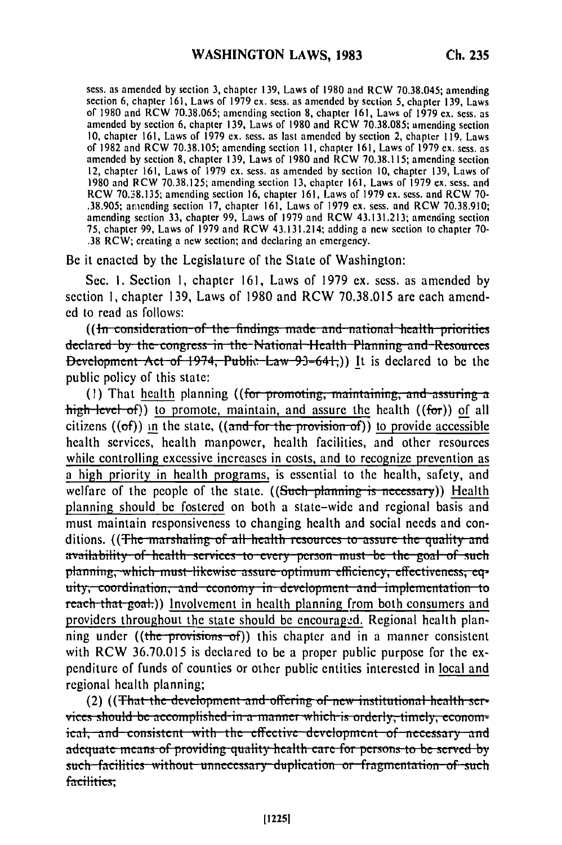sess. as amended **by** section **3,** chapter **139,** Laws of **1980** and RCW **70.38.045;** amending section 6, chapter **161,** Laws of **1979** ex. sess. as amended **by** section **5,** chapter **139,** Laws **of 1980** and RCW **70.38.065;** amending section **8,** chapter **161,** Laws of **1979 ex.** sess. as amcndcd **by** section **6,** chapter **139,** Laws of **1980** and RCW **70.38.085;** amending section **10,** chapter **161,** Laws of **1979 cx.** scss. as last amended **by** section 2, chapter **119,** Laws of **1982** and RCW **70.38.105;** amending section **11,** chapter **161,** Laws of **1979** ex. sess. as amended **by** section **8,** chapter **139,** Laws of **1980** and RCW **70.38.115;** amending section 12, chapter **161,** Laws of **1979 ex.** sess. as amended **by** section **10,** chapter **139,** Laws of **1980** and RCW **70.38.125;** amending section **13,** chapter **161,** Laws of **1979 cx.** sess. and RCW **70.38.135;** amending section **16,** chapter **161,** Laws of **1979 ex.** sess. and RCW **70-** .38.905; arending section **17,** chapter **161,** Laws of 1979 **ex.** sess. and RCW 70.38.910; amending section **33,** chapter **99,** Laws of 1979 and RCW 43.131.213; amending section 75, chapter 99, Laws of 1979 and RCW 43.131.214; adding a new section to chapter **70-** .38 RCW; creating a new section; and declaring an emergency.

Be it enacted by the Legislature of the State of Washington:

Sec. i. Section **1,** chapter 161, Laws of 1979 **ex.** sess. as amended by section **1,** chapter 139, Laws of 1980 and RCW 70.38.015 are each amend**ed** to read as follows:

((In consideration of the findings made and national health priorities) declared by the congress in the National Health Planning and Resources **Development Act of 1974, Public Law 93-641;)) It is declared to be the** public policy of this state:

(1) That health planning ((for promoting, maintaining, and assuring a high level of)) to promote, maintain, and assure the health ((for)) of all citizens ((of)) in the state, ((and for the provision of)) to provide accessible health services, health manpower, health facilities, and other resources while controlling excessive increases in costs, and to recognize prevention as a high priority in health programs, is essential to the health, safety, and welfare of the people of the state. ((Such planning is necessary)) Health planning should be fostered on both a state-wide and regional basis and must maintain responsiveness to changing health and social needs and conditions. ((The marshaling of all health resources to assure the quality and availability of health services to every person must be the goal of such planning, which must likewise assure optimum efficiency, effectiveness, eq-<br>uity, coordination, and economy in development and implementation to reach that-goat.)) Involvement in health planning from both consumers and providers throughout the state should be encouraged. Regional health planning under ((the provisions of)) this chapter and in a manner consistent with RCW 36.70.015 is declared to be a proper public purpose for the expenditure of funds of counties or other public entities interested in local and regional health planning;

(2) ((That the development and offering of new institutional health ser**vices should be accomplished in a manner which is orderly, timely, econom**ical, and consistent with the effective development of necessary and adequate means of providing quality health care for persons to be served by such facilities without unnecessary duplication or fragmentation of such facilities;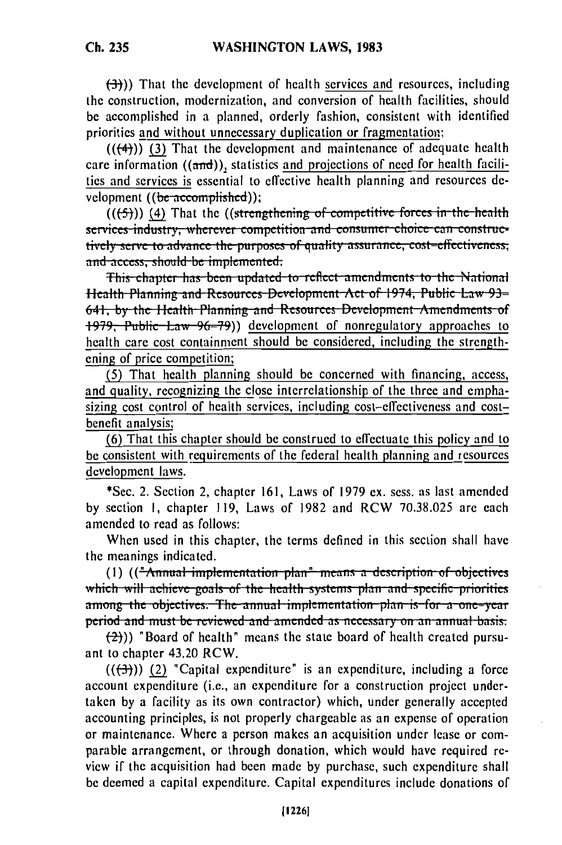**(-3))** That the development of health services and resources, including the construction, modernization, and conversion of health facilities, should **be** accomplished in a planned, orderly fashion, consistent with identified priorities and without unnecessary duplication or fragmentation;

 $((+4))$  (3) That the development and maintenance of adequate health care information  $((and))$ , statistics and projections of need for health facilities and services is essential to effective health planning and resources **de**velopment ((be-accomplished));

 $((f-5))$  (4) That the  $((\text{strengthening of competitive forces in the health})$ services industry, wherever competition and consumer choice can constructively serve to advance the purposes of quality assurance, cost-effectiveness, and access, should be implemented.

**l.a.** This chapter has been updated to reflect amendments to the National Health Planning and Resources Development Act of 1974, Public Law 93-641, by the Health Planning and Resources Development Amendments of 1979, Public Law 96-79)) development of nonregulatory approaches to health care cost containment should be considered, including the strengthening of price competition;

(5) That health planning should be concerned with financing, access, and quality, recognizing the close interrelationship of the three and emphasizing cost control of health services, including cost-effectiveness and costbenefit analysis;

(6) That this chapter should be construed to effectuate this policy and to be consistent with requirements of the federal health planning and resources development laws.

\*Sec. 2. Section 2, chapter 161, Laws of 1979 ex. sess. as last amended by section **1,** chapter 119, Laws of 1982 and RCW 70.38.025 are each amended to read as follows:

When used in this chapter, the terms defined in this section shall have the meanings indicated.

mounings mateated.<br>(1) ((<del>"Annual implementation plan" means a description of phiest</del> **which II, is a constructed**  $\alpha$  **b**  $\alpha$  **c**  $\alpha$  **b**  $\alpha$  **of** *s*  $\alpha$  **b**  $\alpha$  **b**  $\alpha$  **b**  $\alpha$  **b**  $\alpha$  **b**  $\alpha$  **b**  $\alpha$  **b**  $\alpha$  **b**  $\alpha$  **b**  $\alpha$  **b**  $\alpha$  **b**  $\alpha$  **b**  $\alpha$  **b**  $\alpha$  **b**  $\alpha$  **b**  $\alpha$  **b**  $\alpha$  **b** which will achieve goals of the health systems plan and specific priorities among the objectives. The annual implementation plan is for a one-year period and must be reviewed and amended as necessary on an annual basis.

 $\left(\frac{2}{2}\right)$ ) "Board of health" means the state board of health created pursuant to chapter 43.20 RCW.

 $((\rightarrow 3))$  (2) "Capital expenditure" is an expenditure, including a force account expenditure (i.e., an expenditure for a construction project undertaken by a facility as its own contractor) which, under generally accepted accounting principles, is not properly chargeable as an expense of operation or maintenance. Where a person makes an acquisition under lease or comparable arrangement, or through donation, which would have required review if the acquisition had been made by purchase, such expenditure shall be deemed a capital expenditure. Capital expenditures include donations of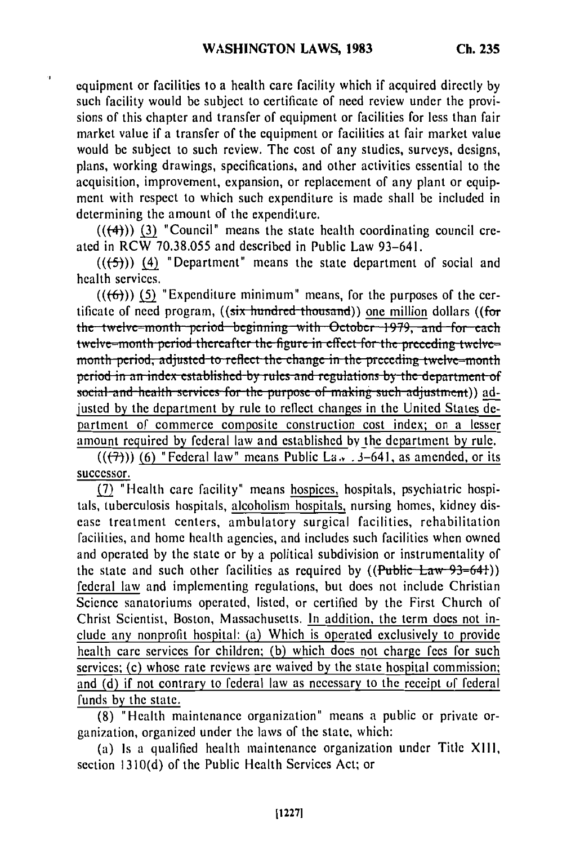٠J

equipment or facilities to a health care facility which if acquired directly by such facility would be subject to certificate of need review under the provisions of this chapter and transfer of equipment or facilities for less than fair market value if a transfer of the equipment or facilities at fair market value would be subject to such review. The cost of any studies, surveys, designs, plans, working drawings, specifications, and other activities essential to the acquisition, improvement, expansion, or replacement of any plant or equipment with respect to which such expenditure is made shall be included in determining the amount of the expenditure.

 $((+4))$  (3) "Council" means the state health coordinating council created in RCW 70.38.055 and described in Public Law 93-641.

 $((\left\lbrace 5 \right\rbrace))$  (4) "Department" means the state department of social and health services.

 $((6))$  (5) "Expenditure minimum" means, for the purposes of the certificate of need program, ((six hundred thousand)) one million dollars ((for the twelve-month period beginning with October 1979, and for each twelve–month period thereafter the figure in effect for the preceding twelve– month period, adjusted to reflect the change in the preceding twelve-month period in an index established by rules and regulations by the department of social and health services for the purpose of making such adjustment)) adjusted by the department by rule to reflect changes in the United States department of commerce composite construction cost index; on a lesser amount required by federal law and established by the department by rule.

 $((\overline{(+)}))$  (6) "Federal law" means Public La. 3-641, as amended, or its successor.

(7) "Health care facility" means hospices, hospitals, psychiatric hospitals, tuberculosis hospitals, alcoholism hospitals, nursing homes, kidney disease treatment centers, ambulatory surgical facilities, rehabilitation facilities, and home health agencies, and includes such facilities when owned and operated by the state or by a political subdivision or instrumentality of the state and such other facilities as required by  $((Public Law-93-64))$ federal law and implementing regulations, but does not include Christian Science sanatoriums operated, listed, or certified by the First Church of Christ Scientist, Boston, Massachusetts. In addition, the term does not include any nonprofit hospital: (a) Which is operated exclusively to provide health care services for children; (b) which does not charge fees for such services; (c) whose rate reviews are waived by the state hospital commission; and (d) if not contrary to federal law as necessary to the receipt of federal funds by the state.

(8) "Health maintenance organization" means a public or private organization, organized under the laws of the state, which:

(a) Is a qualified health maintenance organization under Title XIII, section 1310(d) of the Public Health Services Act; or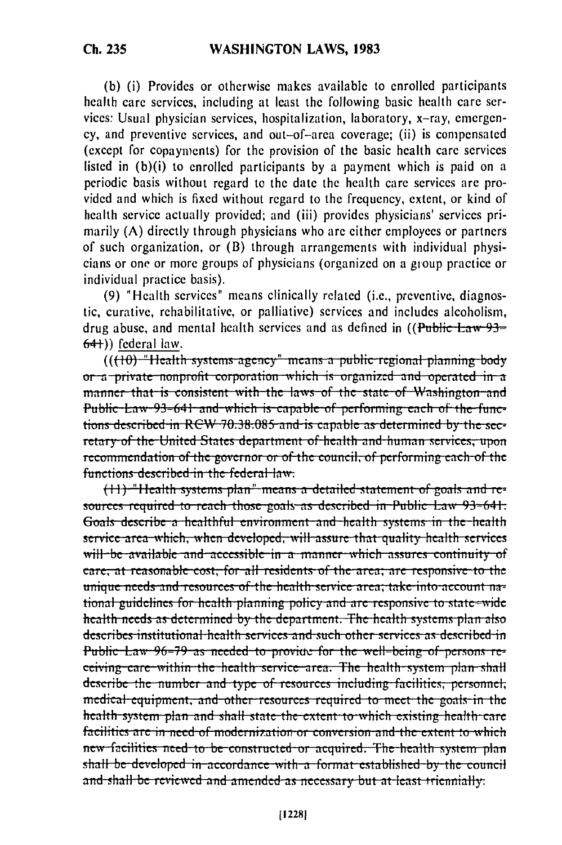(b) (i) Provides or otherwise makes available to enrolled participants health care services, including at least the following basic health care services: Usual physician services, hospitalization, laboratory, x-ray, emergency, and preventive services, and out-of-area coverage; (ii) is compensated (except for copayments) for the provision of the basic health care services listed in (b)(i) to enrolled participants by a payment which is paid on a periodic basis without regard to the date the health care services are provided and which is fixed without regard to the frequency, extent, or kind of health service actually provided; and (iii) provides physicians' services primarily (A) directly through physicians who are either employees or partners of such organization, or (B) through arrangements with individual physicians or one or more groups of physicians (organized on a group practice or individual practice basis).

(9) "Health services" means clinically related (i.e., preventive, diagnostic, curative, rehabilitative, or palliative) services and includes alcoholism. drug abuse, and mental health services and as defined in  $($ Public-Law-93=  $64$ ) federal law.

 $((10)$ -"Health systems-agency" means a public-regional planning body or a private nonprofit corporation which is organized and operated in a manner that is consistent with the laws of the state of Washington and Public Law-93-641 and which is capable of performing each of the functions described in RCW 70.38.085 and is capable as determined by the secretary of the United States department of health and human services, upon recommendation of the governor or of the council, of performing each of the functions described in the federal law.

(11) "Health systems plan" means a detailed statement of goals and resources required to reach those goals as described in Public Law 93-641. Goals describe a healthful environment and health systems in the health service area which, when developed, will assure that quality health services will be available and accessible in a manner which assures continuity of care, at reasonable cost, for all residents of the area; are responsive to the unique needs and resources of the health service area, take into account national guidelines for health planning policy and are responsive to state-wide health needs as determined by the department. The health systems plan also describes institutional health services and such other services as described in Public Law 96-79 as needed to provide for the well-being of persons reeeiving care within the health service area. The health system plan shall describe the number and type of resources including facilities, personnel, medical equipment, and other resources required to meet the goals in the health system plan and shall state the extent to which existing health care facilities are in need of modernization or conversion and the extent to which new facilities need to be constructed or acquired. The health system plan shall be developed in accordance with a format established by the council and-shall-be reviewed and amended as necessary but at least triennially.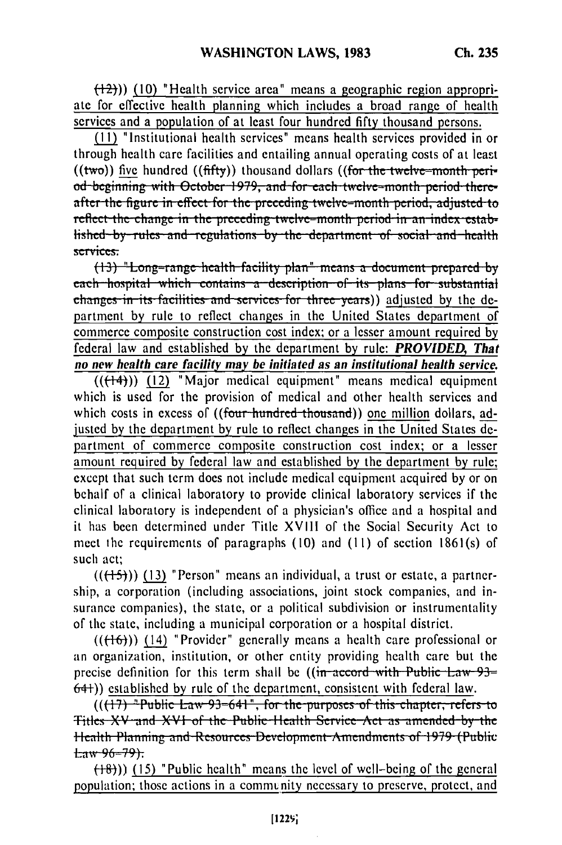$(\frac{12}{2})$ ) (10) "Health service area" means a geographic region appropriate for effective health planning which includes a broad range of health services and a population of at least four hundred fifty thousand persons.

(11) "Institutional health services" means health services provided in or through health care facilities and entailing annual operating costs of at least  $((two))$  five hundred  $((fffty))$  thousand dollars  $((for the twelve-month perir$ od beginning with October 1979, and for each twelve-month period thereafter the figure in effect for the preceding twelve-month period, adjusted to reflect the change in the preceding twelve-month period in an index established by rules and regulations by the department of social and health services:

 $(13)$  "Long-range health facility plan" means a document prepared by each hospital which contains a description of its plans for substantial changes in its facilities and services for three years)) adjusted by the department by rule to reflect changes in the United States department of commerce composite construction cost index; or a lesser amount required by federal law and established by the department by rule: PROVIDED, That no new health care facility may be initiated as an institutional health service.

 $((\pm 4))$  (12) "Major medical equipment" means medical equipment which is used for the provision of medical and other health services and which costs in excess of ((four-hundred thousand)) one million dollars, adjusted by the department by rule to reflect changes in the United States department of commerce composite construction cost index; or a lesser amount required by federal law and established by the department by rule; except that such term does not include medical equipment acquired by or on behalf of a clinical laboratory to provide clinical laboratory services if the clinical laboratory is independent of a physician's office and a hospital and it has been determined under Title XVIII of the Social Security Act to meet the requirements of paragraphs (10) and (11) of section 1861(s) of such act:

 $((+5))$  (13) "Person" means an individual, a trust or estate, a partnership, a corporation (including associations, joint stock companies, and insurance companies), the state, or a political subdivision or instrumentality of the state, including a municipal corporation or a hospital district.

 $((\{16\})$  (14) "Provider" generally means a health care professional or an organization, institution, or other entity providing health care but the precise definition for this term shall be ((in accord with Public Law 93= 64+)) established by rule of the department, consistent with federal law.

 $((17)$  "Public Law 93=641", for the purposes of this chapter, refers to Titles XV and XVI of the Public Health Service Act as amended by the Health Planning and Resources Development Amendments of 1979 (Public  $Law-96-79$ :

 $(18)$ ) (15) "Public health" means the level of well-being of the general population; those actions in a community necessary to preserve, protect, and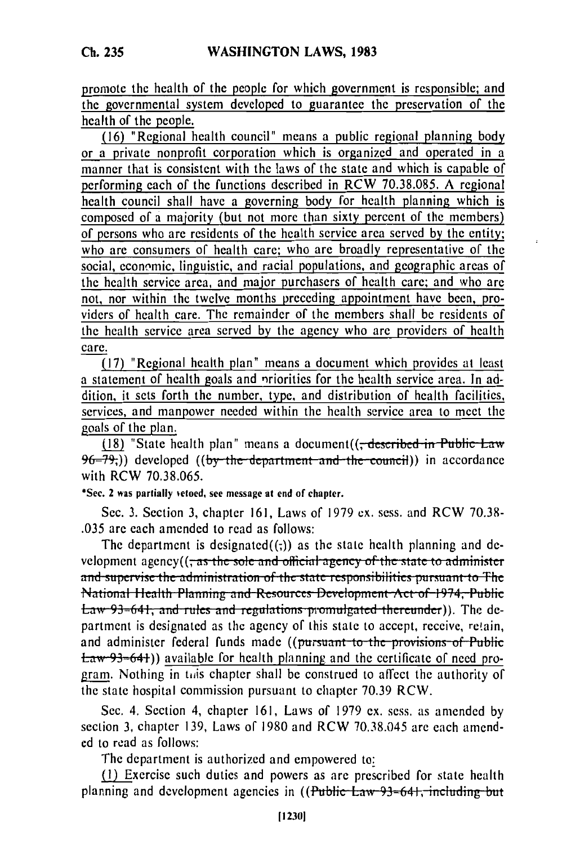promote the health of the people for which government is responsible; and the governmental system developed to guarantee the preservation of the health of the people.

(16) "Regional health council" means a public regional planning body or a private nonprofit corporation which is organized and operated in a manner that is consistent with the laws of the state and which is capable of performing each of the functions described in RCW 70.38.085. A regional health council shall have a governing body for health planning which is composed of a majority (but not more than sixty percent of the members) of persons who are residents of the health service area served by the entity; who are consumers of health care; who are broadly representative of the social, economic, linguistic, and racial populations, and geographic areas of the health service area, and major purchasers of health care; and who are not, nor within the twelve months preceding appointment have been, providers of health care. The remainder of the members shall be residents of the health service area served by the agency who are providers of health care.

(17) "Regional health plan" means a document which provides at least a statement of health goals and priorities for the health service area. In addition, it sets forth the number, type, and distribution of health facilities, services, and manpower needed within the health service area to meet the goals of the plan.

(18) "State health plan" means a document ((; described in Public Law  $96-79$ .) developed ((by the department and the council)) in accordance with RCW 70.38.065.

\*Sec. 2 was partially vetoed, see message at end of chapter.

Sec. 3. Section 3, chapter 161, Laws of 1979 ex. sess. and RCW 70.38-.035 are each amended to read as follows:

The department is designated $((,))$  as the state health planning and de-and supervise the administration of the state responsibilities pursuant to The National Health Planning and Resources Development Act of 1974, Public Eaw 93-641, and rules and regulations promulgated thereunder)). The department is designated as the agency of this state to accept, receive, retain, and administer federal funds made ((pursuant to the provisions of Public  $\pm$ aw 93=64+)) available for health planning and the certificate of need program. Nothing in this chapter shall be construed to affect the authority of the state hospital commission pursuant to chapter 70.39 RCW.

Sec. 4. Section 4, chapter 161, Laws of 1979 ex. sess. as amended by section 3, chapter 139, Laws of 1980 and RCW 70.38.045 are each amended to read as follows:

The department is authorized and empowered to:

(1) Exercise such duties and powers as are prescribed for state health planning and development agencies in ((Public Law 93=641, including but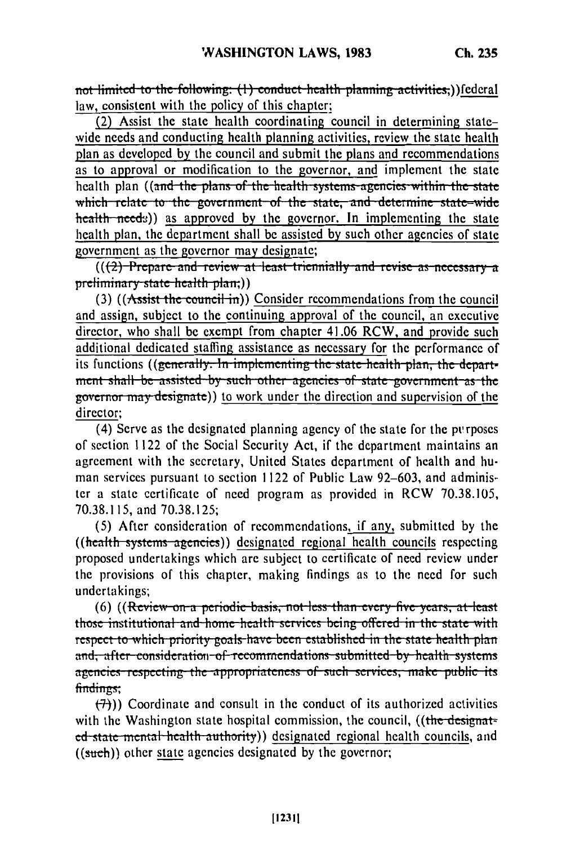not limited to the following: (1) conduct health planning activities;)) federal law, consistent with the policy of this chapter;

(2) Assist the state health coordinating council in determining statewide needs and conducting health planning activities, review the state health plan as developed by the council and submit the plans and recommendations as to approval or modification to the governor, and implement the state health plan ((and the plans of the health systems agencies within the state which relate to the government of the state, and determine state-wide health needs) as approved by the governor. In implementing the state health plan, the department shall be assisted by such other agencies of state government as the governor may designate;

 $((2)$ -Prepare and review at least triennially and revise as necessary a preliminary state health plan;))

(3) ((Assist the council in)) Consider recommendations from the council and assign, subject to the continuing approval of the council, an executive director, who shall be exempt from chapter 41.06 RCW, and provide such additional dedicated staffing assistance as necessary for the performance of its functions ((generally. In implementing the state health plan, the department shall be assisted by such other agencies of state government as the governor may designate)) to work under the direction and supervision of the director:

(4) Serve as the designated planning agency of the state for the purposes of section 1122 of the Social Security Act, if the department maintains an agreement with the secretary, United States department of health and human services pursuant to section 1122 of Public Law 92–603, and administer a state certificate of need program as provided in RCW 70.38.105. 70.38.115, and 70.38.125;

(5) After consideration of recommendations, if any, submitted by the ((health systems agencies)) designated regional health councils respecting proposed undertakings which are subject to certificate of need review under the provisions of this chapter, making findings as to the need for such undertakings;

(6) ((Review on a periodic basis, not less than every five years, at least those institutional and home health services being offered in the state with respect to which priority goals have been established in the state health plan and, after consideration of recommendations submitted by health systems agencies respecting the appropriateness of such services, make public its findings:

 $(\overline{7})$ ) Coordinate and consult in the conduct of its authorized activities with the Washington state hospital commission, the council, ((the designated state mental health authority) designated regional health councils, and  $((such))$  other state agencies designated by the governor: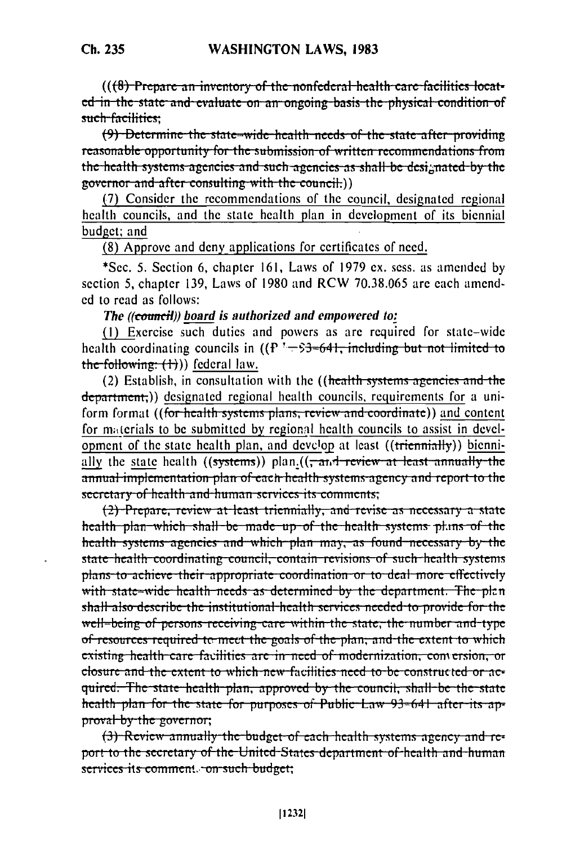$((6)$  Prepare an inventory of the nonfederal health care facilities located in the state and evaluate on an ongoing basis the physical condition of such facilities:

(9) Determine the state-wide health needs of the state after providing reasonable opportunity for the submission of written recommendations from the health systems agencies and such agencies as shall be designated by the governor and after consulting with the council.)

(7) Consider the recommendations of the council, designated regional health councils, and the state health plan in development of its biennial budget; and

(8) Approve and deny applications for certificates of need.

\*Sec. 5. Section 6, chapter 161, Laws of 1979 ex. sess. as amended by section 5, chapter 139, Laws of 1980 and RCW 70.38.065 are each amended to read as follows:

## The ((council)) board is authorized and empowered to:

(1) Exercise such duties and powers as are required for state-wide health coordinating councils in  $((P^3-53-64)$ ; including but not limited to the following:  $(1)$ ) federal law.

(2) Establish, in consultation with the ((health systems agencies and the department;)) designated regional health councils, requirements for a uniform format ((for health systems plans, review and coordinate)) and content for materials to be submitted by regional health councils to assist in development of the state health plan, and develop at least ((triennially)) biennially the state health  $((systems))$  plan. $((\frac{\pi}{2})$  review at least annually the annual implementation plan of each health systems agency and report to the secretary of health-and-human-services its comments;

(2) Prepare, review at least triennially, and revise as necessary a state health plan-which shall-be made up of the health systems plans of the health systems agencies and which plan may, as found necessary by the state health coordinating council, contain revisions of such health systems plans to achieve their appropriate coordination or to deal more effectively with state-wide health needs as determined by the department. The plan shall also describe the institutional health services needed to provide for the well-being of persons-receiving-care-within the state, the number and type of resources required to meet the goals of the plan, and the extent to which existing health care facilities are in need of modernization, comersion, or closure and the extent to which new facilities need to be constructed or acquired. The state health plan, approved by the council, shall be the state health plan for the state for purposes of Public Law 93=641 after its approval by the governor;

(3) Review annually the budget of each health systems agency and report to the secretary of the United-States department of health and human services its comment. on such budget;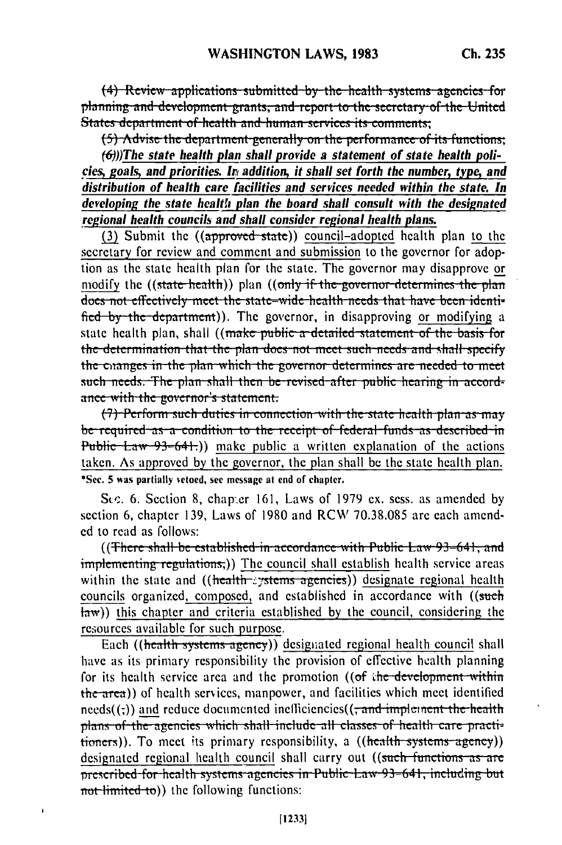(4) Review applications submitted by the health systems agencies for planning and development grants, and report to the secretary of the United States department of health and human services its comments;

(5) Advise the department generally on the performance of its functions;

 $(6)$ ))The state health plan shall provide a statement of state health policies, goals, and priorities. In addition, it shall set forth the number, type, and distribution of health care facilities and services needed within the state. In developing the state health plan the board shall consult with the designated regional health councils and shall consider regional health plans.

(3) Submit the ((approved state)) council-adopted health plan to the secretary for review and comment and submission to the governor for adoption as the state health plan for the state. The governor may disapprove or modify the ((state health)) plan ((only if the governor determines the plan does not effectively meet the state-wide health needs that have been identified by the department). The governor, in disapproving or modifying a state health plan, shall ((make public a detailed statement of the basis for the determination that the plan does not meet such needs and shall specify the changes in the plan which the governor determines are needed to meet such needs. The plan shall then be revised after public hearing in accordance with the governor's statement.

(7) Perform such duties in connection with the state health plan as may be required as a condition to the receipt of federal funds as described in Public Law  $-93-64$ .) make public a written explanation of the actions taken. As approved by the governor, the plan shall be the state health plan. \*Sec. 5 was partially vetoed, see message at end of chapter.

Sec. 6. Section 8, chapter 161, Laws of 1979 ex. sess. as amended by section 6, chapter 139, Laws of 1980 and RCW 70.38.085 are each amended to read as follows:

((There shall be established in accordance with Public Law 93-641, and implementing regulations;)) The council shall establish health service areas within the state and  $((\text{health}\text{-}z\text{-}y\text{-}step\text{-}z\text{-}z))$  designate regional health councils organized, composed, and established in accordance with ((such  $\frac{1}{(2)}$ ) this chapter and criteria established by the council, considering the resources available for such purpose.

Each ((health systems agency)) designated regional health council shall have as its primary responsibility the provision of effective health planning for its health service area and the promotion ((of the development within the area)) of health services, manpower, and facilities which meet identified  $\text{needs}(.)$  and reduce documented inefficiencies( $\left(\frac{1}{2} \text{ and } \frac{1}{2} \text{ implies the height}\right)$ plans of the agencies which shall include all classes of health care practitioners)). To meet its primary responsibility, a ((health systems agency)) designated regional health council shall carry out ((such functions as are prescribed for health systems agencies in Public Law 93=641, including but not limited to)) the following functions:

ï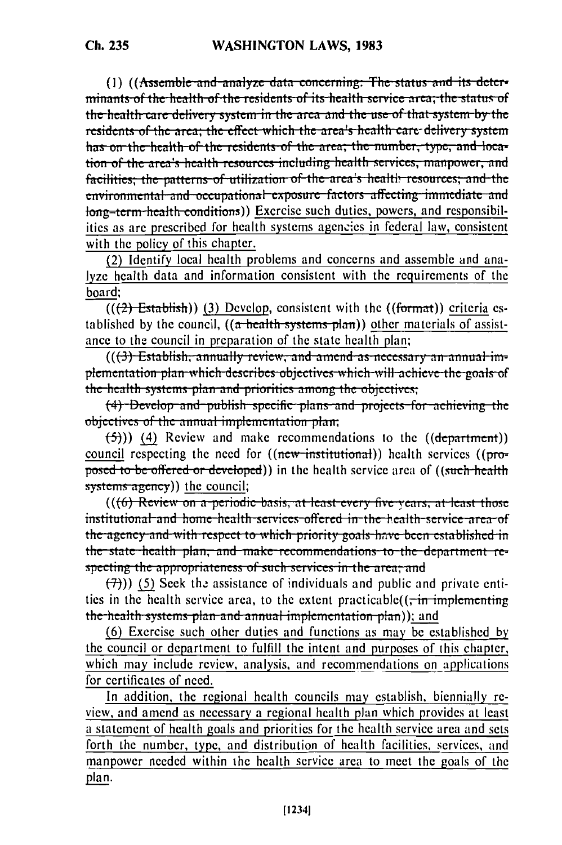(1) ((Assemble and analyze data concerning: The status and its determinants of the health of the residents of its health service area; the status of the health care delivery system in the area and the use of that system by the residents of the area; the effect which the area's health care delivery system has on the health of the residents of the area; the number, type, and location of the area's health resources including health services, manpower, and facilities; the patterns of utilization of the area's health resources; and the environmental and occupational exposure factors affecting immediate and long-term-health conditions)) Exercise such duties, powers, and responsibilities as are prescribed for health systems agencies in federal law, consistent with the policy of this chapter.

(2) Identify local health problems and concerns and assemble and analyze health data and information consistent with the requirements of the board:

 $((2)$  Establish) (3) Develop, consistent with the  $((format))$  criteria established by the council,  $((a + \text{health - systems - plan}))$  other materials of assistance to the council in preparation of the state health plan;

 $((3)$  Establish, annually review, and amend as necessary an annual implementation plan which describes objectives which will achieve the goals of the health systems plan and priorities among the objectives;

 $(4)$  Develop and publish specific plans and projects for achieving the objectives of the annual implementation plan;

 $(5)$ )) (4) Review and make recommendations to the  $((department))$ council respecting the need for  $((new-institutional))$  health services  $((pro$ posed to be offered or developed) in the health service area of ((such health systems agency)) the council;

 $((6)$  Review on a periodic basis, at least every five vears, at least those institutional and home health services offered in the health service area of the agency and with respect to which priority goals have been established in the state health plan, and make recommendations to the department respecting the appropriateness of such services in the area; and

 $(7)$ )) (5) Seek the assistance of individuals and public and private entities in the health service area, to the extent practicable( $(\frac{1}{x}$  implementing the health systems plan and annual implementation plan)); and

(6) Exercise such other duties and functions as may be established by the council or department to fulfill the intent and purposes of this chapter, which may include review, analysis, and recommendations on applications for certificates of need.

In addition, the regional health councils may establish, biennially review, and amend as necessary a regional health plan which provides at least a statement of health goals and priorities for the health service area and sets forth the number, type, and distribution of health facilities, services, and manpower needed within the health service area to meet the goals of the plan.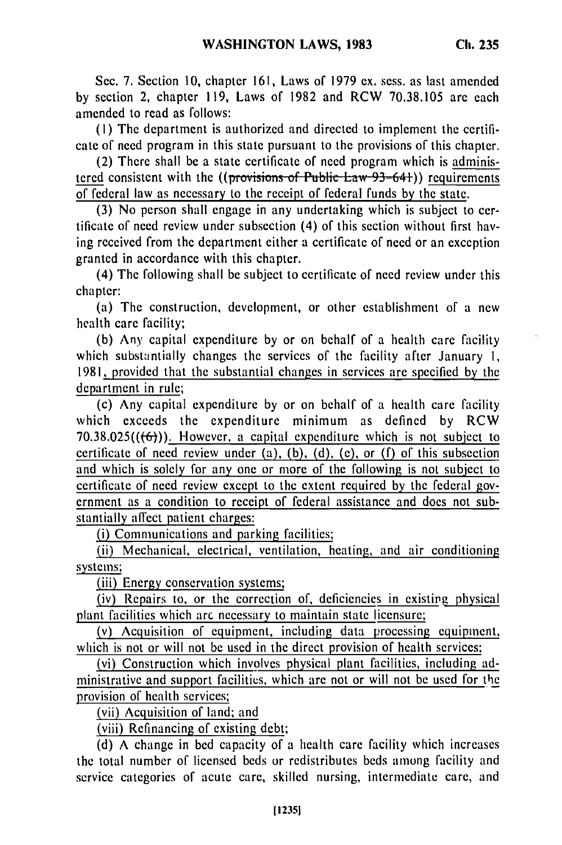**Ch. 235**

(I) The department is authorized and directed to implement the certificate of need program in this state pursuant to the provisions of this chapter.

(2) There shall be a state certificate of need program which is administered consistent with the  $((proxisions of Public Law-93-64))$  requirements of federal law as necessary to the receipt of federal funds by the state.

(3) No person shall engage in any undertaking which is subject to certificate of need review under subsection (4) of this section without first having received from the department either a certificate of need or an exception granted in accordance with this chapter.

(4) The following shall be subject to certificate of need review under this chapter:

(a) The construction, development, or other establishment of a new health care facility;

(b) Any capital expenditure by or on behalf of a health care facility which substantially changes the services of the facility after January 1, 1981, provided that the substantial changes in services are specified by the department in rule;

(c) Any capital expenditure by or on behalf of a health care facility which exceeds the expenditure minimum as defined by RCW 70.38.025 $((\text{ }(\text{ }6))$ . However, a capital expenditure which is not subject to certificate of need review under  $(a)$ ,  $(b)$ ,  $(d)$ ,  $(c)$ , or  $(f)$  of this subsection and which is solely for any one or more of the following is not subject to certificate of need review except to the extent required by the federal government as a condition to receipt of federal assistance and does not substantially affect patient charges:

(i) Communications and parking facilities;

(ii) Mechanical, electrical, ventilation, heating, and air conditioning systems;

(iii) Energy conservation systems;

(iv) Repairs to, or the correction of, deficiencies in existipg physical plant facilities which arc necessary to maintain state licensure;

(v) Acquisition of equipment, including data processing equipment, which is not or will not be used in the direct provision of health services;

(vi) Construction which involves physical plant facilities, including administrative and support facilities, which are not or will not be used for the provision of health services;

(vii) Acquisition of land; and

(viii) Refinancing of existing debt;

(d) A change in bed capacity of a health care facility which increases the total number of licensed beds or redistributes beds among facility and service categories of acute care, skilled nursing, intermediate care, and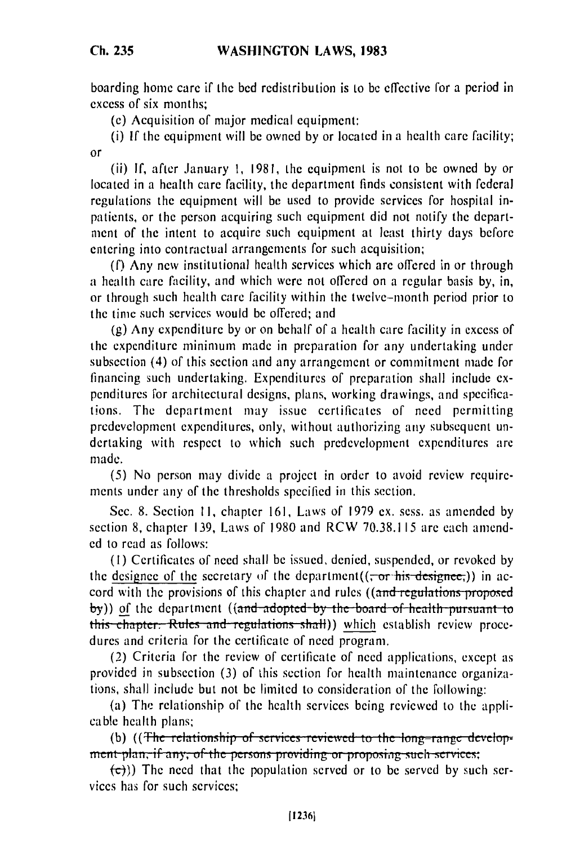**Ch. 235**

boarding home care if the bed redistribution is to be effective for a period in excess of six months;

(e) Acquisition of major medical equipment:

(i) If the equipment will be owned by or located in a health care facility; or

(ii) If, after January I, 1981, the equipment is not to be owned by or located in a health care facility, the department finds consistent with federal regulations the equipment will be used to provide services for hospital inpatients, or the person acquiring such equipment did not notify the department of the intent to acquire such equipment at least thirty days before entering into contractual arrangements for such acquisition;

(f) Any new institutional health services which are offered in or through a health care facility, and which were not offered on a regular basis by, in, or through such health care facility within the twelve-month period prior to the time such services would be offered; and

(g) Any expenditure by or on behalf of a health care facility in excess of the expenditure minimum made in preparation for any undertaking under subsection (4) of this section and any arrangement or commitment made for financing such undertaking. Expenditures of preparation shall include expenditures for architectural designs, plans, working drawings, and specifications. The department may issue certificates of need permitting prcdevelopment expenditures, only, without authorizing any subsequent undertaking with respect to which such predevelopment expenditures are inade.

(5) No person may divide a project in order to avoid review requirements under any of the thresholds specified in this section.

Sec. 8. Section **11,** chapter 161, Laws of 1979 ex. sess. as amended by section 8, chapter 139, Laws of 1980 and RCW 70.38.115 are each amended to read as follows:

(I) Certificates of need shall be issued, denied, suspended, or revoked by the designee of the secretary of the department( $(-\sigma r \cdot \text{his} - \text{desipnee})$ ) in accord with the provisions of this chapter and rules ((and regulations proposed **by**)) of the department ((and adopted by the board of health pursuant to this chapter: Rules and regulations shall) which establish review procedures and criteria for the certificate of need program.

(2) Criteria for the review of certificate of need applications, except as provided in subsection (3) of this section for health maintenance organizations, shall include but not be limited to consideration of the following:

(a) The relationship of the health services being reviewed to the appli-(a) The relationship of the health services being reviewed to the appli-<br>cable health plans;

(b) ((The relationship of services reviewed to the long-range develop-<br>ment plan, if any, of the persons providing or proposing such services:

 $\left(\frac{c}{c}\right)$ )) The need that the population served or to be served by such services has for such services;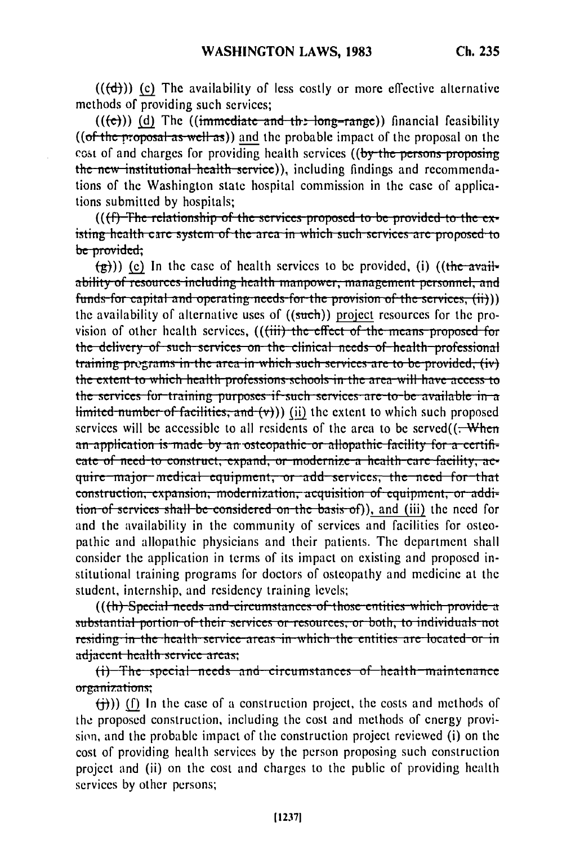$((\text{d})))$  (c) The availability of less costly or more effective alternative methods of providing such services;

 $((e))$  (d) The ((immediate and the long-range)) financial feasibility  $((of the proposal as well as))$  and the probable impact of the proposal on the cost of and charges for providing health services ((by the persons proposing the new institutional health service), including findings and recommendations of the Washington state hospital commission in the case of applications submitted by hospitals:

((ff) The relationship of the services proposed to be provided to the existing health care system of the area in which such services are proposed to be provided;

 $(\frac{\pi}{2})$ ) (c) In the case of health services to be provided, (i) ((the availability of resources including health manpower, management personnel, and funds for capital and operating needs for the provision of the services, (ii))) the availability of alternative uses of ((such)) project resources for the provision of other health services, ((<del>(iii) the effect of the means proposed for</del> the delivery of such services on the clinical needs of health professional training programs in the area in which such services are to be provided, (iv) the extent to which health professions schools in the area will have access to the services for training purposes if such services are to be available in a  $limited-number of facilities, and (v))$  (ii) the extent to which such proposed services will be accessible to all residents of the area to be served $((\text{--} \text{When}$ an-application is made by an osteopathic or allopathic facility for a certifieate of need-to construct, expand, or modernize a health care facility, acquire major medical equipment, or add services, the need for that construction, expansion, modernization, acquisition of equipment, or addition of services shall be considered on the basis of), and (iii) the need for and the availability in the community of services and facilities for osteopathic and allopathic physicians and their patients. The department shall consider the application in terms of its impact on existing and proposed institutional training programs for doctors of osteopathy and medicine at the student, internship, and residency training levels;

(((h) Special needs and circumstances of those entities which provide a substantial portion of their services or resources, or both, to individuals not residing in the health service areas in which the entities are located or in adjacent health service areas;

(i) The special needs and circumstances of health maintenance organizations:

 $(\frac{1}{1})$ ) (f) In the case of a construction project, the costs and methods of the proposed construction, including the cost and methods of energy provision, and the probable impact of the construction project reviewed (i) on the cost of providing health services by the person proposing such construction project and (ii) on the cost and charges to the public of providing health services by other persons;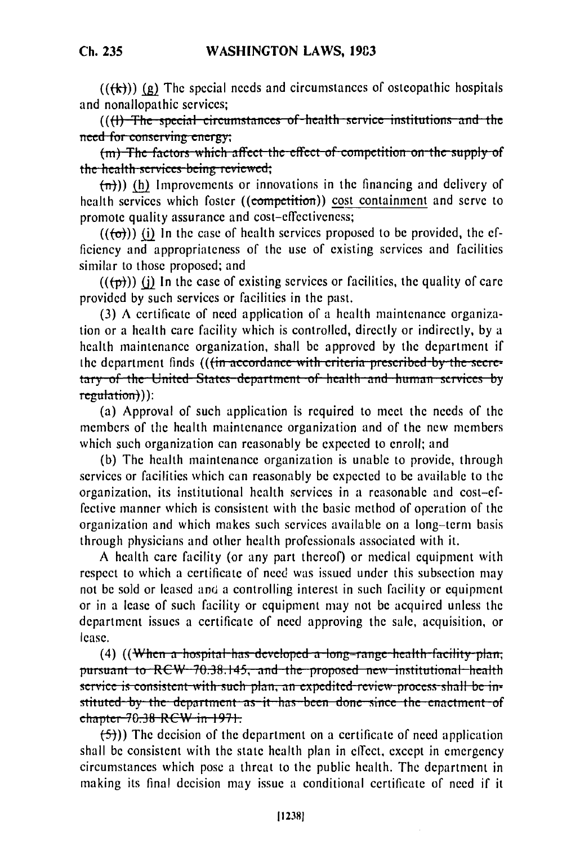$((\{k\}))$  (g) The special needs and circumstances of osteopathic hospitals and nonallopathic services;

((()) The special circumstances of health service institutions and the need for conserving energy;

(m) The factors which affect the effect of competition on the supply of the health services being reviewed;<br> $(\overline{n})$ ) (h) Improvements or innovations in the financing and delivery of

health services which foster ((competition)) cost containment and serve to promote quality assurance and cost-effectiveness;

 $((\lbrace \sigma \rbrace))$  (i) In the case of health services proposed to be provided, the efficiency and appropriateness of the use of existing services and facilities similar to those proposed; and

 $((+p))$  (i) In the case of existing services or facilities, the quality of care provided **by** such services or facilities in the past.

**(3) A** certificate of need application of a health maintenance organization or a health care facility which is controlled, directly or indirectly, **by** a health maintenance organization, shall be approved **by** the department if the department finds (((in accordance with criteria prescribed by the secretary of the United States department of health and human services by regulation)):

(a) Approval of such application is required to meet the needs of the members of the health maintenance organization and of the new members which such organization can reasonably be expected to enroll; and

(b) The health maintenance organization is unable to provide, through services or facilities which can reasonably be expected to be available to the organization, its institutional health services in a reasonable and cost-effective manner which is consistent with the basic method of operation of the organization and which makes such services available on a long-term basis through physicians and other health professionals associated with it.

A health care facility (or any part thereof) or medical equipment with respect to which a certificate of need was issued under this subsection may not be sold or leased and a controlling interest in such facility or equipment or in a lease of such facility or equipment may not be acquired unless the department issues a certificate of need approving the sale, acquisition, or lease.(4) ((W e a... .p......... . ... . ......... ... . ... .. . .....th *--* --i ..... ... .

(4) ((When a hospital has developed a long-range health facility plan;<br>pursuant to RCW 70.38.145, and the proposed new institutional health **Service is consistent with such plan, an expedited review process shall be in**stituted by the department as it has been done since the enactment of  $ch$ <sub>apter</sub> 70.38 RCW in 1971.

**(-5)))** The decision of the department on a certificate of need application shall be consistent with the state health plan in effect, except in emergency circumstances which pose a threat to the public health. The department in making its final decision may issue a conditional certificate of need if it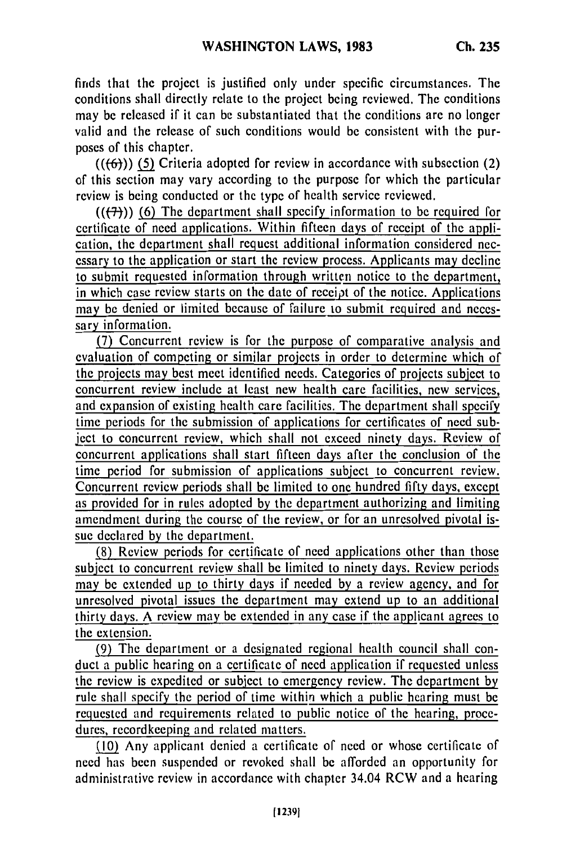finds that the project is justified only under specific circumstances. The conditions shall directly relate to the project being reviewed. The conditions may be released if it can be substantiated that the conditions are no longer valid and the release of such conditions would be consistent with the purposes of this chapter.

 $((\{6\}))$  (5) Criteria adopted for review in accordance with subsection (2) of this section may vary according to the purpose for which the particular review is being conducted or the type of health service reviewed.

 $((+7))$  (6) The department shall specify information to be required for certificate of need applications. Within fifteen days of receipt of the application, the department shall request additional information considered necessary to the application or start the review process. Applicants may decline to submit requested information through written notice to the department, in which case review starts on the date of receipt of the notice. Applications may be denied or limited because of failure to submit required and necessary information.

(7) Concurrent review is for the purpose of comparative analysis and evaluation of competing or similar projects in order to determine which of the projects may best meet identified needs. Categories of projects subject to concurrent review include at least new health care facilities, new services, and expansion of existing health care facilities. The department shall specify time periods for the submission of applications for certificates of need sub-<br>liect to concurrent review, which shall not exceed ninety days. Review of ject to concurrent review, which shall not exceed ninety days. Review of concurrent applications shall start fifteen days after the conclusion of the time period for submission of applications subject to concurrent review. Concurrent review periods shall be limited to one hundred fifty days, except as provided for in rules adopted by the department authorizing and limiting amendment during the course of the review, or for an unresolved pivotal issue declared by the department.

(8) Review periods for certificate of need applications other than those subject to concurrent review shall be limited to ninety days. Review periods may be extended up to thirty days if needed by a review agency, and for unresolved pivotal issues the department may extend up to an additional thirty days. A review may be extended in any case if the applicant agrees to the extension.

(9) The department or a designated regional health council shall conduct a public hearing on a certificate of need application if requested unless the review is expedited or subject to emergency review. The department by rule shall specify the period of time within which a public hearing must be requested and requirements related to public notice of the hearing, procedures, recordkeeping and related matters.

(10) Any applicant denied a certificate of need or whose certificate of need has been suspended or revoked shall be afforded an opportunity for administrative review in accordance with chapter 34.04 RCW and a hearing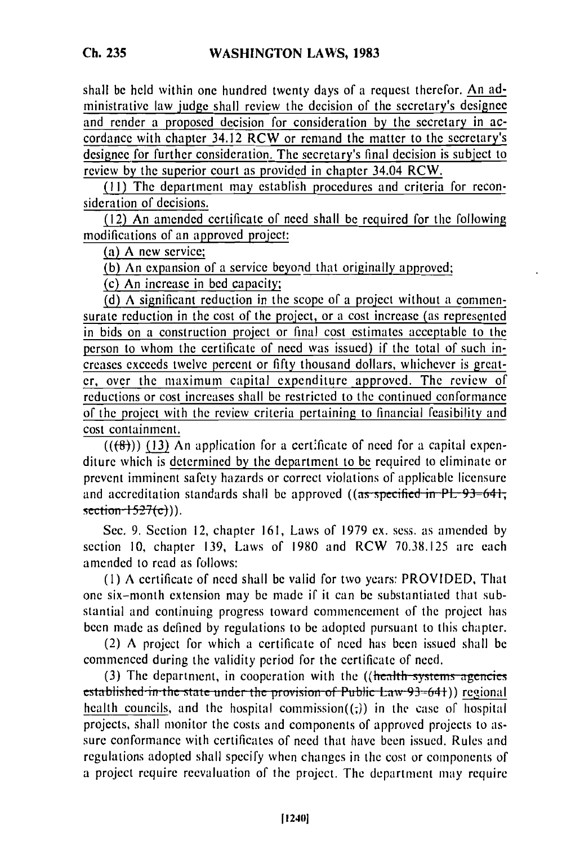shall be held within one hundred twenty days of a request therefor. An administrative law judge shall review the decision of the secretary's designee and render a proposed decision for consideration by the secretary in accordance with chapter 34.12 RCW or remand the matter to the secretary's designee for further consideration. The secretary's final decision is subject to review by the superior court as provided in chapter 34.04 RCW.

(I1) The department may establish procedures and criteria for reconsideration of decisions.

(12) An amended certificate of need shall be required for the following modifications of an approved project:

(a) A new service;

(b) An expansion of a service beyond that originally approved;

(c) An increase in bed capacity;

(d) A significant reduction in the scope of a project without a commensurate reduction in the cost of the project, or a cost increase (as represented in bids on a construction project or final cost estimates acceptable to the person to whom the certificate of need was issued) if the total of such increases exceeds twelve percent or fifty thousand dollars, whichever is greater, over the maximum capital expenditure approved. The review of reductions or cost increases shall be restricted to the continued conformance of the project with the review criteria pertaining to financial feasibility and cost containment.

 $((\{8\}))$  (13) An application for a certificate of need for a capital expenditure which is determined by the department to be required to eliminate or prevent imminent safety hazards or correct violations of applicable licensure prevent imminent safety nazards or correct violations of applicable licensure<br>and accreditation standards shall be approved ((as specified in PL 93–641

Sec. 9. Section 12, chapter 161, Laws of 1979 ex. sess. as amended by section **10,** chapter 139, Laws of 1980 and RCW 70.38.125 are each amended to read as follows:

**(I)** A certificate of need shall be valid for two years: PROVIDED, That one six-month extension may be made if it can be substantiated that substantial and continuing progress toward commencement of the project has been made as defined by regulations to be adopted pursuant to this chapter.

(2) A project for which a certificate of need has been issued shall be commenced during the validity period for the certificate of need.

(3) The department, in cooperation with the  $((\text{health-system} - \text{agencies})$ **established in the state under the provision of Public Law 93-641) regional** health councils, and the hospital commission $((z))$  in the case of hospital projects, shall monitor the costs and components of approved projects to assure conformance with certificates of need that have been issued. Rules and regulations adopted shall specify when changes in the cost or components of a project require reevaluation of the project. The department may require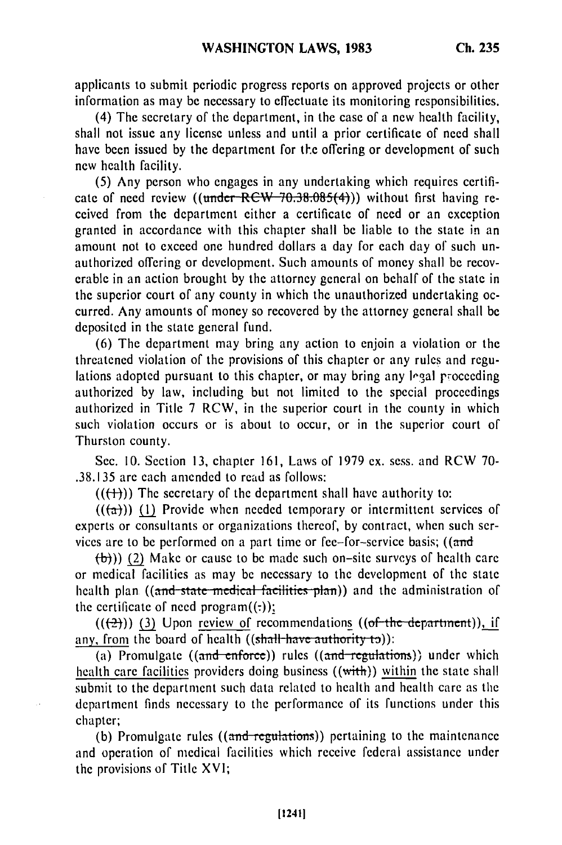applicants to submit periodic progress reports on approved projects or other information as may be necessary to effectuate its monitoring responsibilities.

(4) The secretary of the department, in the case of a new health facility, shall not issue any license unless and until a prior certificate of need shall have been issued by the department for the offering or development of such new health facility.

(5) Any person who engages in any undertaking which requires certificate of need review *((under-RCW-70.38.085(4)))* without first having received from the department either a certificate of need or an exception granted in accordance with this chapter shall be liable to the state in an amount not to exceed one hundred dollars a day for each day of such unauthorized offering or development. Such amounts of money shall be recoverable in an action brought by the attorney general on behalf of the state in the superior court of any county in which the unauthorized undertaking occurred. Any amounts of money so recovered by the attorney general shall be deposited in the state general fund.

(6) The department may bring any action to enjoin a violation or the threatened violation of the provisions of this chapter or any rules and regulations adopted pursuant to this chapter, or may bring any legal proceeding authorized by law, including but not limited to the special proceedings authorized in Title 7 RCW, in the superior court in the county in which such violation occurs or is about to occur, or in the superior court of Thurston county.

Sec. 10. Section 13, chapter 161, Laws of 1979 ex. sess. and RCW 70- .38.135 are each amended to read as follows:

 $((+))$  The secretary of the department shall have authority to:

 $((a))$  (1) Provide when needed temporary or intermittent services of experts or consultants or organizations thereof, by contract, when such services are to be performed on a part time or fee-for-service basis; ((and

 $(\theta)$ )) (2) Make or cause to be made such on-site surveys of health care or medical facilities as may be necessary to the development of the state health plan ((and state medical facilities plan)) and the administration of the certificate of need program $((:)$ ;

 $((+2))$  (3) Upon review of recommendations  $((+6+6)$  department)), if any, from the board of health ((shall-have authority to)):

(a) Promulgate  $((and **enforce**))$  rules  $((and **regulations**))$  under which health care facilities providers doing business ((with)) within the state shall submit to the department such data related to health and health care as the department finds necessary to the performance of its functions under this chapter;

(b) Promulgate rules  $((and-regularions))$  pertaining to the maintenance and operation of medical facilities which receive federal assistance under the provisions of Title XVI;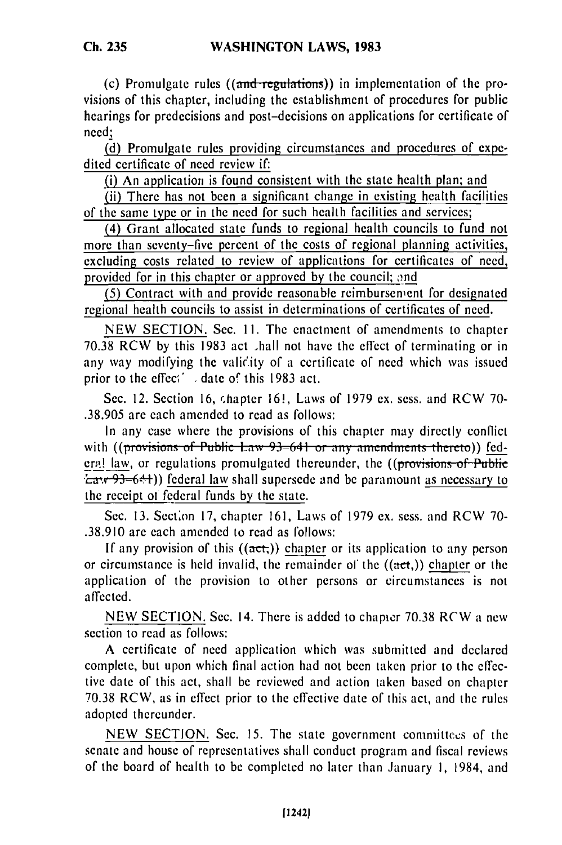(c) Promulgate rules  $((and-regularism))$  in implementation of the provisions of this chapter, including the establishment of procedures for public hearings for predecisions and post-decisions on applications for certificate of need;

(d) Promulgate rules providing circumstances and procedures of expedited certificate of need review if:

(i) An application is found consistent with the state health plan; and

(ii) There has not been a significant change in existing health facilities of the same type or in the need for such health facilities and services;

(4) Grant allocated state funds to regional health councils to fund not more than seventy-five percent of the costs of regional planning activities, excluding costs related to review of applications for certificates of need, provided for in this chapter or approved by the council; and

**(5)** Contract with and provide reasonable reimbursenent for designated regional health councils to assist in determinations of certificates of need.

NEW SECTION. Sec. II. The enactment of amendments to chapter 70.38 RCW by this 1983 act hall not have the effect of terminating or in any way modifying the vali'ity of a certificate of need which was issued prior to the effec<sup>(1</sup>, date of this 1983 act.

Sec. 12. Section 16, chapter 16!, Laws of 1979 ex. sess. and RCW 70-.38.905 are each amended to read as follows:

In any case where the provisions of this chapter may directly conflict with ((provisions of Public Law 93–641 or any amendments thereto)) federa! law, or regulations promulgated thereunder, the  $((\overline{\text{provisions of Public}})$ *<sup>†</sup>La*<sup>+</sup>/<sup>+</sup>/<sup>2</sup>/<sub>2</sub>-6<sup>4</sup>/<sup>+</sup>)) federal law shall supersede and be paramount as necessary to the receipt of federal funds by the state.

Sec. 13. Section 17, chapter 161, Laws of 1979 ex. sess. and RCW 70-.38.910 are each amended to read as follows:

If any provision of this  $((act))$  chapter or its application to any person or circumstance is held invalid, the remainder of the  $((act))$  chapter or the application of the provision to other persons or circumstances is not affected.

NEW SECTION. Sec. 14. There is added to chapter 70.38 RCW a new section to read as follows:

A certificate of need application which was submitted and declared complete, but upon which final action had not been taken prior to the effective date of this act, shall be reviewed and action taken based on chapter 70.38 RCW, as in effect prior to the effective date of this act, and the rules adopted thereunder.

NEW SECTION. Sec. 15. The state government committecs of the senate and house of representatives shall conduct program and fiscal reviews of the board of health to be completed no later than January I, 1984, and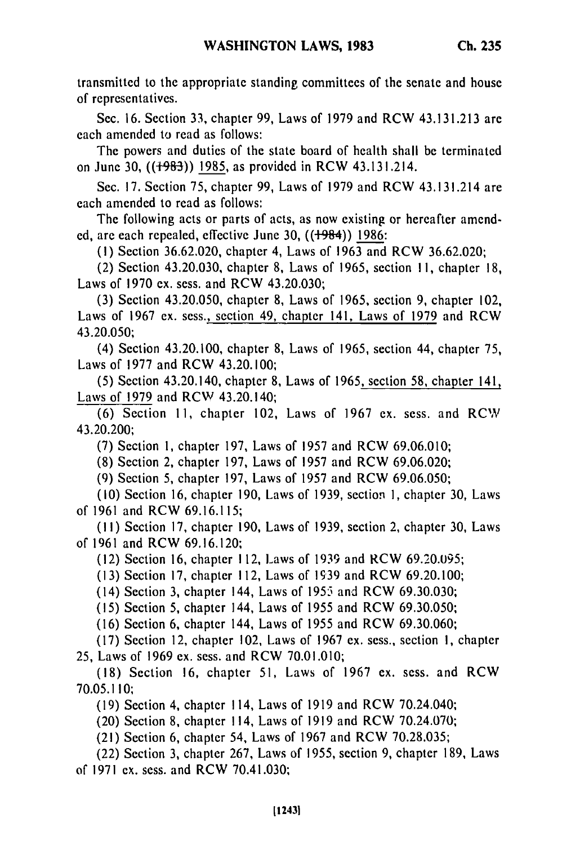transmitted to the appropriate standing committees of the senate and house of representatives.

Sec. 16. Section 33, chapter 99, Laws of 1979 and RCW 43.131.213 are each amended to read as follows:

The powers and duties of the state board of health shall be terminated on June 30, ((+983)) 1985, as provided in RCW 43.131.214.

Sec. 17. Section 75, chapter 99, Laws of 1979 and RCW 43.131.214 are each amended to read as follows:

The following acts or parts of acts, as now existing or hereafter amended, are each repealed, effective June 30,  $((1984))$  1986:

(I) Section 36.62.020, chapter 4, Laws of 1963 and RCW 36.62.020;

(2) Section 43.20.030, chapter 8, Laws of 1965, section **11,** chapter 18, Laws of 1970 ex. sess. and RCW 43.20.030;

(3) Section 43.20.050, chapter 8, Laws of 1965, section 9, chapter 102, Laws of 1967 ex. sess., section 49, chapter 141, Laws of 1979 and RCW 43.20.050;

(4) Section 43.20.100, chapter 8, Laws of 1965, section 44, chapter 75, Laws of 1977 and RCW 43.20.100;

(5) Section 43.20.140, chapter 8, Laws of 1965, section 58, chapter 141, Laws of 1979 and RCW 43.20.140;

(6) Section 11, chapter 102, Laws of 1967 ex. sess. and RCW 43.20.200;

(7) Section 1, chapter 197, Laws of 1957 and RCW 69.06.010;

(8) Section 2, chapter 197, Laws of 1957 and RCW 69.06.020;

(9) Section 5, chapter 197, Laws of 1957 and RCW 69.06.050;

(10) Section 16, chapter 190, Laws of 1939, section 1, chapter 30, Laws of 1961 and RCW 69.16.115;

**(11)** Section 17, chapter 190, Laws of 1939, section 2, chapter 30, Laws of 1961 and RCW 69.16.120;

(12) Section 16, chapter 112, Laws of 1939 and RCW 69.20.095;

(13) Section 17, chapter 112, Laws of 1939 and RCW 69.20.100;

(14) Section 3, chapter 144, Laws of 1955 and RCW 69.30.030;

**(15)** Section 5, chapter 144, Laws of 1955 and RCW 69.30.050;

(16) Section 6, chapter 144, Laws of 1955 and RCW 69.30.060;

(17) Section 12, chapter 102, Laws of 1967 ex. sess., section **1,** chapter 25, Laws of 1969 ex. sess. and RCW 70.01.010;

(18) Section 16, chapter 51, Laws of 1967 ex. sess. and RCW 70.05.110;

(19) Section 4, chapter 114, Laws of 1919 and RCW 70.24.040;

(20) Section 8, chapter 114, Laws of 1919 and RCW 70.24.070;

(21) Section 6, chapter 54, Laws of 1967 and RCW 70.28.035;

(22) Section 3, chapter 267, Laws of **1955,** section 9, chapter 189, Laws of 1971 ex. sess. and RCW 70.41.030;